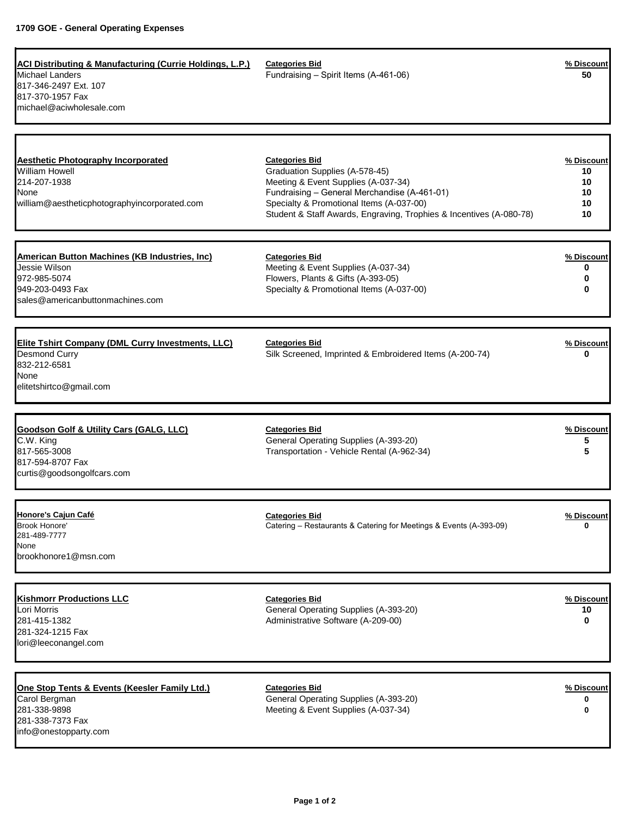| <b>ACI Distributing &amp; Manufacturing (Currie Holdings, L.P.)</b><br><b>Michael Landers</b><br>817-346-2497 Ext. 107<br>817-370-1957 Fax<br>michael@aciwholesale.com | <b>Categories Bid</b><br>Fundraising - Spirit Items (A-461-06)                                                                                                                                                                                                    | % Discount<br>50                         |
|------------------------------------------------------------------------------------------------------------------------------------------------------------------------|-------------------------------------------------------------------------------------------------------------------------------------------------------------------------------------------------------------------------------------------------------------------|------------------------------------------|
| <b>Aesthetic Photography Incorporated</b><br><b>William Howell</b><br>214-207-1938<br>None<br>william@aestheticphotographyincorporated.com                             | <b>Categories Bid</b><br>Graduation Supplies (A-578-45)<br>Meeting & Event Supplies (A-037-34)<br>Fundraising - General Merchandise (A-461-01)<br>Specialty & Promotional Items (A-037-00)<br>Student & Staff Awards, Engraving, Trophies & Incentives (A-080-78) | % Discount<br>10<br>10<br>10<br>10<br>10 |
| <b>American Button Machines (KB Industries, Inc)</b><br>Jessie Wilson<br>972-985-5074<br>949-203-0493 Fax<br>sales@americanbuttonmachines.com                          | <b>Categories Bid</b><br>Meeting & Event Supplies (A-037-34)<br>Flowers, Plants & Gifts (A-393-05)<br>Specialty & Promotional Items (A-037-00)                                                                                                                    | % Discount<br>0<br>0<br>0                |
| <b>Elite Tshirt Company (DML Curry Investments, LLC)</b><br><b>Desmond Curry</b><br>832-212-6581<br>None<br>elitetshirtco@gmail.com                                    | <b>Categories Bid</b><br>Silk Screened, Imprinted & Embroidered Items (A-200-74)                                                                                                                                                                                  | % Discount<br>0                          |
| <b>Goodson Golf &amp; Utility Cars (GALG, LLC)</b><br>C.W. King<br>817-565-3008<br>817-594-8707 Fax<br>curtis@goodsongolfcars.com                                      | <b>Categories Bid</b><br>General Operating Supplies (A-393-20)<br>Transportation - Vehicle Rental (A-962-34)                                                                                                                                                      | % Discount<br>5<br>5                     |
| Honore's Cajun Café<br>Brook Honore'<br>281-489-7777<br>None<br>brookhonore1@msn.com                                                                                   | <b>Categories Bid</b><br>Catering - Restaurants & Catering for Meetings & Events (A-393-09)                                                                                                                                                                       | % Discount<br>U                          |
| <b>Kishmorr Productions LLC</b><br>Lori Morris<br>281-415-1382<br>281-324-1215 Fax<br>lori@leeconangel.com                                                             | <b>Categories Bid</b><br>General Operating Supplies (A-393-20)<br>Administrative Software (A-209-00)                                                                                                                                                              | % Discount<br>10<br>0                    |
| One Stop Tents & Events (Keesler Family Ltd.)<br>Carol Bergman<br>281-338-9898<br>281-338-7373 Fax<br>info@onestopparty.com                                            | <b>Categories Bid</b><br>General Operating Supplies (A-393-20)<br>Meeting & Event Supplies (A-037-34)                                                                                                                                                             | % Discount<br>0<br>0                     |